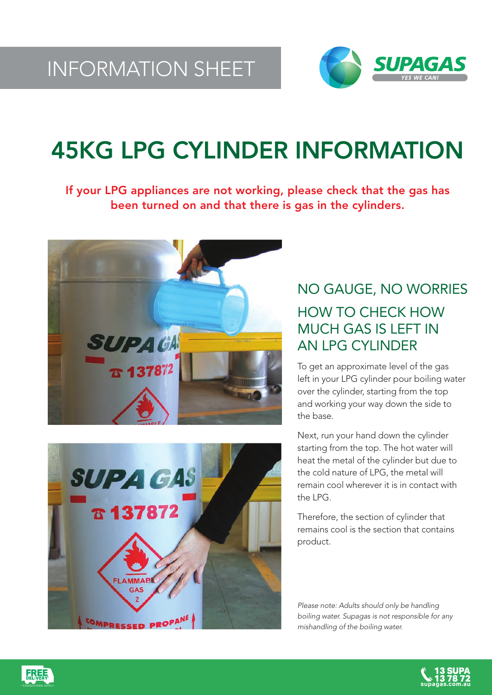

## 45KG LPG CYLINDER INFORMATION

If your LPG appliances are not working, please check that the gas has been turned on and that there is gas in the cylinders.





### NO GAUGE, NO WORRIES HOW TO CHECK HOW MUCH GAS IS LEFT IN AN LPG CYLINDER

To get an approximate level of the gas left in your LPG cylinder pour boiling water over the cylinder, starting from the top and working your way down the side to the base.

Next, run your hand down the cylinder starting from the top. The hot water will heat the metal of the cylinder but due to the cold nature of LPG, the metal will remain cool wherever it is in contact with the LPG.

Therefore, the section of cylinder that remains cool is the section that contains product.

Please note: Adults should only be handling boiling water. Supagas is not responsible for any mishandling of the boiling water.